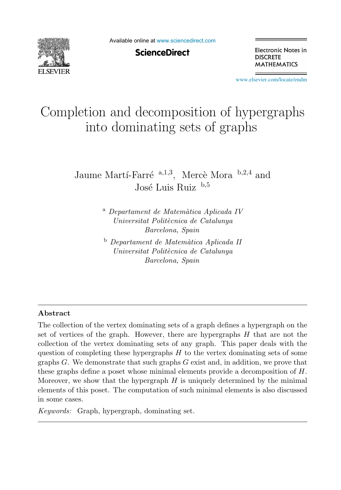

Available online at [www.sciencedirect.com](http://www.sciencedirect.com)

**ScienceDirect** 

Electronic Notes in **DISCRETE MATHEMATICS** 

[www.elsevier.com/locate/endm](http://www.elsevier.com/locate/endm)

# Completion and decomposition of hypergraphs into dominating sets of graphs

Jaume Martí-Farré <sup>a,1,3</sup>, Mercè Mora <sup>b,2,4</sup> and José Luis Ruiz  $b,5$ 

> <sup>a</sup> *Departament de Matem`atica Aplicada IV Universitat Polit`ecnica de Catalunya Barcelona, Spain*

<sup>b</sup> *Departament de Matem`atica Aplicada II Universitat Polit`ecnica de Catalunya Barcelona, Spain*

#### **Abstract**

The collection of the vertex dominating sets of a graph defines a hypergraph on the set of vertices of the graph. However, there are hypergraphs  $H$  that are not the collection of the vertex dominating sets of any graph. This paper deals with the question of completing these hypergraphs  $H$  to the vertex dominating sets of some graphs  $G$ . We demonstrate that such graphs  $G$  exist and, in addition, we prove that these graphs define a poset whose minimal elements provide a decomposition of H. Moreover, we show that the hypergraph  $H$  is uniquely determined by the minimal elements of this poset. The computation of such minimal elements is also discussed in some cases.

*Keywords:* Graph, hypergraph, dominating set.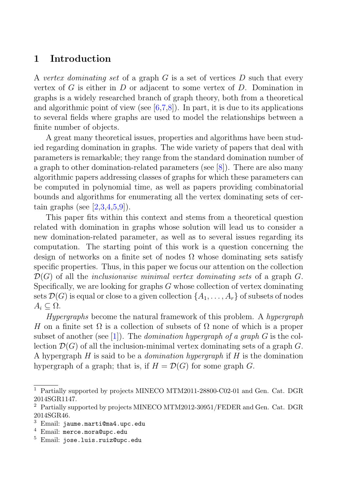# **1 Introduction**

A vertex dominating set of a graph  $G$  is a set of vertices  $D$  such that every vertex of G is either in D or adjacent to some vertex of D. Domination in graphs is a widely researched branch of graph theory, both from a theoretical and algorithmic point of view (see  $[6,7,8]$ ). In part, it is due to its applications to several fields where graphs are used to model the relationships between a finite number of objects.

A great many theoretical issues, properties and algorithms have been studied regarding domination in graphs. The wide variety of papers that deal with parameters is remarkable; they range from the standard domination number of a graph to other domination-related parameters (see [8]). There are also many algorithmic papers addressing classes of graphs for which these parameters can be computed in polynomial time, as well as papers providing combinatorial bounds and algorithms for enumerating all the vertex dominating sets of certain graphs (see  $[2,3,4,5,9]$ ).

This paper fits within this context and stems from a theoretical question related with domination in graphs whose solution will lead us to consider a new domination-related parameter, as well as to several issues regarding its computation. The starting point of this work is a question concerning the design of networks on a finite set of nodes  $\Omega$  whose dominating sets satisfy specific properties. Thus, in this paper we focus our attention on the collection  $\mathcal{D}(G)$  of all the *inclusionwise minimal vertex dominating sets* of a graph G. Specifically, we are looking for graphs  $G$  whose collection of vertex dominating sets  $\mathcal{D}(G)$  is equal or close to a given collection  $\{A_1,\ldots,A_r\}$  of subsets of nodes  $A_i \subseteq \Omega$ .

Hypergraphs become the natural framework of this problem. A hypergraph H on a finite set  $\Omega$  is a collection of subsets of  $\Omega$  none of which is a proper subset of another (see [1]). The *domination hypergraph of a graph G* is the collection  $\mathcal{D}(G)$  of all the inclusion-minimal vertex dominating sets of a graph G. A hypergraph  $H$  is said to be a *domination hypergraph* if  $H$  is the domination hypergraph of a graph; that is, if  $H = \mathcal{D}(G)$  for some graph G.

<sup>1</sup> Partially supported by projects MINECO MTM2011-28800-C02-01 and Gen. Cat. DGR 2014SGR1147.

<sup>2</sup> Partially supported by projects MINECO MTM2012-30951/FEDER and Gen. Cat. DGR 2014SGR46.

 $3$  Email: jaume.marti@ma4.upc.edu

 $4$  Email: merce.mora@upc.edu

<sup>5</sup> Email: jose.luis.ruiz@upc.edu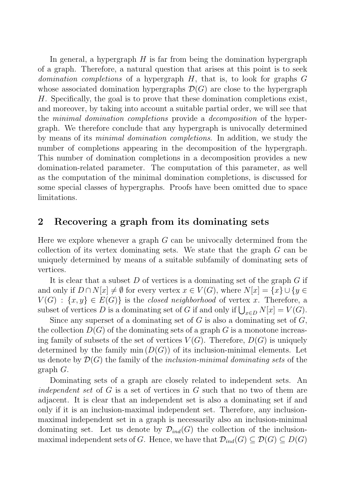In general, a hypergraph  $H$  is far from being the domination hypergraph of a graph. Therefore, a natural question that arises at this point is to seek *domination completions* of a hypergraph  $H$ , that is, to look for graphs  $G$ whose associated domination hypergraphs  $\mathcal{D}(G)$  are close to the hypergraph H. Specifically, the goal is to prove that these domination completions exist, and moreover, by taking into account a suitable partial order, we will see that the minimal domination completions provide a decomposition of the hypergraph. We therefore conclude that any hypergraph is univocally determined by means of its minimal domination completions. In addition, we study the number of completions appearing in the decomposition of the hypergraph. This number of domination completions in a decomposition provides a new domination-related parameter. The computation of this parameter, as well as the computation of the minimal domination completions, is discussed for some special classes of hypergraphs. Proofs have been omitted due to space limitations.

#### **2 Recovering a graph from its dominating sets**

Here we explore whenever a graph  $G$  can be univocally determined from the collection of its vertex dominating sets. We state that the graph G can be uniquely determined by means of a suitable subfamily of dominating sets of vertices.

It is clear that a subset  $D$  of vertices is a dominating set of the graph  $G$  if and only if  $D \cap N[x] \neq \emptyset$  for every vertex  $x \in V(G)$ , where  $N[x] = \{x\} \cup \{y \in$  $V(G)$ :  $\{x, y\} \in E(G)$  is the closed neighborhood of vertex x. Therefore, a subset of vertices D is a dominating set of G if and only if  $\bigcup_{x \in D} N[x] = V(G)$ .

Since any superset of a dominating set of  $G$  is also a dominating set of  $G$ , the collection  $D(G)$  of the dominating sets of a graph G is a monotone increasing family of subsets of the set of vertices  $V(G)$ . Therefore,  $D(G)$  is uniquely determined by the family min  $(D(G))$  of its inclusion-minimal elements. Let us denote by  $\mathcal{D}(G)$  the family of the *inclusion-minimal dominating sets* of the graph G.

Dominating sets of a graph are closely related to independent sets. An independent set of G is a set of vertices in G such that no two of them are adjacent. It is clear that an independent set is also a dominating set if and only if it is an inclusion-maximal independent set. Therefore, any inclusionmaximal independent set in a graph is necessarily also an inclusion-minimal dominating set. Let us denote by  $\mathcal{D}_{ind}(G)$  the collection of the inclusionmaximal independent sets of G. Hence, we have that  $\mathcal{D}_{ind}(G) \subseteq \mathcal{D}(G) \subseteq D(G)$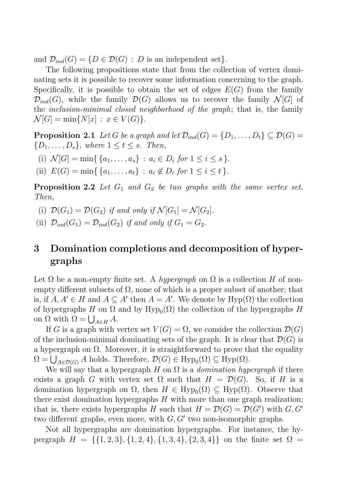and  $\mathcal{D}_{ind}(G) = \{D \in \mathcal{D}(G) : D \text{ is an independent set}\}.$ 

The following propositions state that from the collection of vertex dominating sets it is possible to recover some information concerning to the graph. Specifically, it is possible to obtain the set of edges  $E(G)$  from the family  $\mathcal{D}_{ind}(G)$ , while the family  $\mathcal{D}(G)$  allows us to recover the family  $\mathcal{N}[G]$  of the *inclusion-minimal closed neighborhood of the graph*; that is, the family  $\mathcal{N}[G] = \min\{N[x] : x \in V(G)\}.$ 

**Proposition 2.1** Let G be a graph and let  $\mathcal{D}_{ind}(G) = \{D_1, \ldots, D_t\} \subseteq \mathcal{D}(G)$  ${D_1,\ldots,D_s}$ , where  $1 \leq t \leq s$ . Then,

- (i)  $\mathcal{N}[G] = \min\{ \{a_1, \ldots, a_s\} : a_i \in D_i \text{ for } 1 \leq i \leq s \}.$
- (ii)  $E(G) = \min\{ \{a_1, \ldots, a_t\} : a_i \notin D_i \text{ for } 1 \leq i \leq t \}.$

**Proposition 2.2** Let  $G_1$  and  $G_2$  be two graphs with the same vertex set. Then,

- (i)  $\mathcal{D}(G_1) = \mathcal{D}(G_2)$  if and only if  $\mathcal{N}[G_1] = \mathcal{N}[G_2]$ .
- (ii)  $\mathcal{D}_{ind}(G_1) = \mathcal{D}_{ind}(G_2)$  if and only if  $G_1 = G_2$ .

# **3 Domination completions and decomposition of hypergraphs**

Let  $\Omega$  be a non-empty finite set. A hypergraph on  $\Omega$  is a collection H of nonempty different subsets of  $\Omega$ , none of which is a proper subset of another; that is, if  $A, A' \in H$  and  $A \subseteq A'$  then  $A = A'$ . We denote by  $Hyp(\Omega)$  the collection of hypergraphs H on  $\Omega$  and by Hyp<sub>0</sub>( $\Omega$ ) the collection of the hypergraphs H on  $\Omega$  with  $\Omega = \bigcup_{A \in H} A$ .

If G is a graph with vertex set  $V(G) = \Omega$ , we consider the collection  $\mathcal{D}(G)$ of the inclusion-minimal dominating sets of the graph. It is clear that  $\mathcal{D}(G)$  is a hypergraph on  $\Omega$ . Moreover, it is straightforward to prove that the equality  $\Omega = \bigcup_{A \in \mathcal{D}(G)} A$  holds. Therefore,  $\mathcal{D}(G) \in \text{Hyp}_0(\Omega) \subseteq \text{Hyp}(\Omega)$ .

We will say that a hypergraph H on  $\Omega$  is a *domination hypergraph* if there exists a graph G with vertex set  $\Omega$  such that  $H = \mathcal{D}(G)$ . So, if H is a domination hypergraph on  $\Omega$ , then  $H \in \text{Hyp}_0(\Omega) \subseteq \text{Hyp}(\Omega)$ . Observe that there exist domination hypergraphs  $H$  with more than one graph realization; that is, there exists hypergraphs H such that  $H = \mathcal{D}(G) = \mathcal{D}(G')$  with  $G, G'$ two different graphs, even more, with  $G, G'$  two non-isomorphic graphs.

Not all hypergraphs are domination hypergraphs. For instance, the hypergraph  $H = \{\{1, 2, 3\}, \{1, 2, 4\}, \{1, 3, 4\}, \{2, 3, 4\}\}\$ on the finite set  $\Omega =$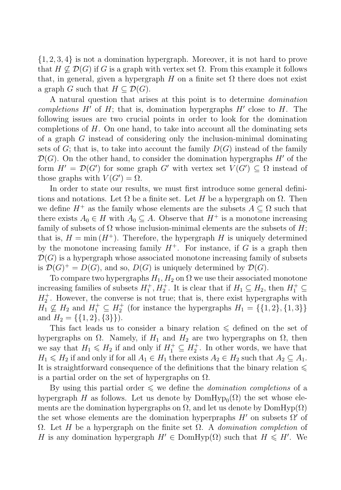{1, 2, 3, 4} is not a domination hypergraph. Moreover, it is not hard to prove that  $H \not\subset \mathcal{D}(G)$  if G is a graph with vertex set  $\Omega$ . From this example it follows that, in general, given a hypergraph H on a finite set  $\Omega$  there does not exist a graph G such that  $H \subset \mathcal{D}(G)$ .

A natural question that arises at this point is to determine domination completions  $H'$  of  $H$ ; that is, domination hypergraphs  $H'$  close to  $H$ . The following issues are two crucial points in order to look for the domination completions of  $H$ . On one hand, to take into account all the dominating sets of a graph G instead of considering only the inclusion-minimal dominating sets of  $G$ ; that is, to take into account the family  $D(G)$  instead of the family  $\mathcal{D}(G)$ . On the other hand, to consider the domination hypergraphs H' of the form  $H' = \mathcal{D}(G')$  for some graph G' with vertex set  $V(G') \subseteq \Omega$  instead of those graphs with  $V(G') = \Omega$ .

In order to state our results, we must first introduce some general definitions and notations. Let  $\Omega$  be a finite set. Let H be a hypergraph on  $\Omega$ . Then we define  $H^+$  as the family whose elements are the subsets  $A \subseteq \Omega$  such that there exists  $A_0 \in H$  with  $A_0 \subseteq A$ . Observe that  $H^+$  is a monotone increasing family of subsets of  $\Omega$  whose inclusion-minimal elements are the subsets of H; that is,  $H = \min(H^+)$ . Therefore, the hypergraph H is uniquely determined by the monotone increasing family  $H^+$ . For instance, if G is a graph then  $\mathcal{D}(G)$  is a hypergraph whose associated monotone increasing family of subsets is  $\mathcal{D}(G)^{+} = D(G)$ , and so,  $D(G)$  is uniquely determined by  $\mathcal{D}(G)$ .

To compare two hypergraphs  $H_1, H_2$  on  $\Omega$  we use their associated monotone increasing families of subsets  $H_1^+, H_2^+$ . It is clear that if  $H_1 \subseteq H_2$ , then  $H_1^+ \subseteq$  $H_2^+$ . However, the converse is not true; that is, there exist hypergraphs with  $H_1 \nsubseteq H_2$  and  $H_1^+ \subseteq H_2^+$  (for instance the hypergraphs  $H_1 = \{\{1, 2\}, \{1, 3\}\}\$ and  $H_2 = \{\{1, 2\}, \{3\}\}\.$ 

This fact leads us to consider a binary relation  $\leq$  defined on the set of hypergraphs on  $\Omega$ . Namely, if  $H_1$  and  $H_2$  are two hypergraphs on  $\Omega$ , then we say that  $H_1 \leq H_2$  if and only if  $H_1^+ \subseteq H_2^+$ . In other words, we have that  $H_1 \leq H_2$  if and only if for all  $A_1 \in H_1$  there exists  $A_2 \in H_2$  such that  $A_2 \subseteq A_1$ . It is straightforward consequence of the definitions that the binary relation  $\leqslant$ is a partial order on the set of hypergraphs on  $\Omega$ .

By using this partial order  $\leq$  we define the *domination completions* of a hypergraph H as follows. Let us denote by  $DomHyp_0(\Omega)$  the set whose elements are the domination hypergraphs on  $\Omega$ , and let us denote by DomHyp $(\Omega)$ the set whose elements are the domination hyperpraphs  $H'$  on subsets  $\Omega'$  of  $Ω.$  Let H be a hypergraph on the finite set  $Ω.$  A domination completion of H is any domination hypergraph  $H' \in \text{DomHyp}(\Omega)$  such that  $H \leq H'$ . We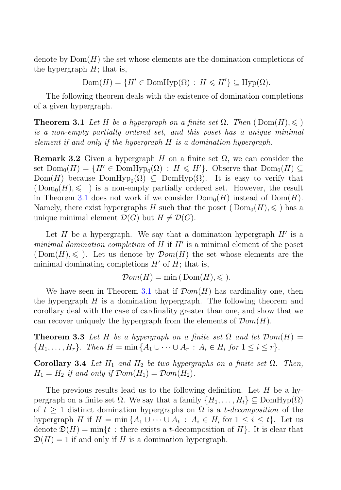denote by  $Dom(H)$  the set whose elements are the domination completions of the hypergraph  $H$ ; that is,

 $Dom(H) = \{H' \in Dom Hyp(\Omega) : H \leq H'\} \subseteq Hyp(\Omega).$ 

The following theorem deals with the existence of domination completions of a given hypergraph.

**Theorem 3.1** Let H be a hypergraph on a finite set  $\Omega$ . Then  $(\text{Dom}(H), \leqslant)$ is a non-empty partially ordered set, and this poset has a unique minimal element if and only if the hypergraph H is a domination hypergraph.

**Remark 3.2** Given a hypergraph H on a finite set  $\Omega$ , we can consider the set  $Dom_0(H) = \{H' \in Dom Hyp_0(\Omega) : H \leq H'\}$ . Observe that  $Dom_0(H) \subseteq$  $Dom(H)$  because  $DomHyp_0(\Omega) \subseteq DomHyp(\Omega)$ . It is easy to verify that  $(\text{Dom}_0(H), \leqslant \)$  is a non-empty partially ordered set. However, the result in Theorem 3.1 does not work if we consider  $Dom_0(H)$  instead of  $Dom(H)$ . Namely, there exist hypergraphs H such that the poset  $(Dom_0(H), \leqslant)$  has a unique minimal element  $\mathcal{D}(G)$  but  $H \neq \mathcal{D}(G)$ .

Let H be a hypergraph. We say that a domination hypergraph  $H'$  is a minimal domination completion of H if  $H'$  is a minimal element of the poset  $(Dom(H), \leqslant)$ . Let us denote by  $Dom(H)$  the set whose elements are the minimal dominating completions  $H'$  of  $H$ ; that is,

$$
\mathcal{D}om(H) = \min(\text{Dom}(H), \leqslant).
$$

We have seen in Theorem 3.1 that if  $Dom(H)$  has cardinality one, then the hypergraph  $H$  is a domination hypergraph. The following theorem and corollary deal with the case of cardinality greater than one, and show that we can recover uniquely the hypergraph from the elements of  $Dom(H)$ .

**Theorem 3.3** Let H be a hypergraph on a finite set  $\Omega$  and let  $Dom(H)$  $\{H_1, \ldots, H_r\}$ . Then  $H = \min \{A_1 \cup \cdots \cup A_r : A_i \in H_i \text{ for } 1 \leq i \leq r\}.$ 

**Corollary 3.4** Let  $H_1$  and  $H_2$  be two hypergraphs on a finite set  $\Omega$ . Then,  $H_1 = H_2$  if and only if  $Dom(H_1) = Dom(H_2)$ .

The previous results lead us to the following definition. Let  $H$  be a hypergraph on a finite set  $\Omega$ . We say that a family  $\{H_1,\ldots,H_t\} \subseteq \text{DomHyp}(\Omega)$ of  $t \geq 1$  distinct domination hypergraphs on  $\Omega$  is a *t*-decomposition of the hypergraph H if  $H = \min\{A_1 \cup \cdots \cup A_t : A_i \in H_i \text{ for } 1 \leq i \leq t\}.$  Let us denote  $\mathfrak{D}(H) = \min\{t : \text{there exists a } t\text{-decomposition of } H\}.$  It is clear that  $\mathfrak{D}(H) = 1$  if and only if H is a domination hypergraph.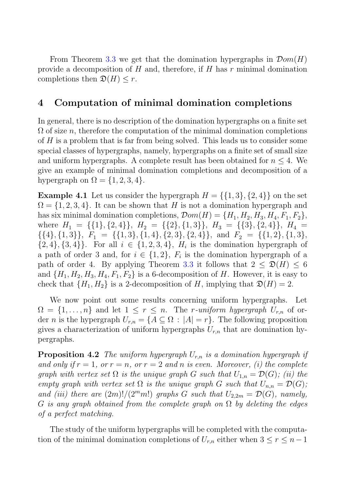From Theorem 3.3 we get that the domination hypergraphs in  $\mathcal{D}om(H)$ provide a decomposition of  $H$  and, therefore, if  $H$  has  $r$  minimal domination completions then  $\mathfrak{D}(H) \leq r$ .

## **4 Computation of minimal domination completions**

In general, there is no description of the domination hypergraphs on a finite set  $\Omega$  of size n, therefore the computation of the minimal domination completions of H is a problem that is far from being solved. This leads us to consider some special classes of hypergraphs, namely, hypergraphs on a finite set of small size and uniform hypergraphs. A complete result has been obtained for  $n \leq 4$ . We give an example of minimal domination completions and decomposition of a hypergraph on  $\Omega = \{1, 2, 3, 4\}.$ 

**Example 4.1** Let us consider the hypergraph  $H = \{\{1,3\},\{2,4\}\}\$ on the set  $\Omega = \{1, 2, 3, 4\}$ . It can be shown that H is not a domination hypergraph and has six minimal domination completions,  $\mathcal{D}om(H) = \{H_1, H_2, H_3, H_4, F_1, F_2\},\$ where  $H_1 = \{\{1\}, \{2, 4\}\}, H_2 = \{\{2\}, \{1, 3\}\}, H_3 = \{\{3\}, \{2, 4\}\}, H_4 =$  $\{\{4\}, \{1, 3\}\}, F_1 = \{\{1, 3\}, \{1, 4\}, \{2, 3\}, \{2, 4\}\}, \text{ and } F_2 = \{\{1, 2\}, \{1, 3\},\$  $\{2, 4\}, \{3, 4\}\.$  For all  $i \in \{1, 2, 3, 4\}, H_i$  is the domination hypergraph of a path of order 3 and, for  $i \in \{1,2\}$ ,  $F_i$  is the domination hypergraph of a path of order 4. By applying Theorem 3.3 it follows that  $2 \leq \mathfrak{D}(H) \leq 6$ and  $\{H_1, H_2, H_3, H_4, F_1, F_2\}$  is a 6-decomposition of H. However, it is easy to check that  $\{H_1, H_2\}$  is a 2-decomposition of H, implying that  $\mathfrak{D}(H) = 2$ .

We now point out some results concerning uniform hypergraphs. Let  $\Omega = \{1, \ldots, n\}$  and let  $1 \leq r \leq n$ . The *r*-uniform hypergraph  $U_{r,n}$  of order *n* is the hypergraph  $U_{r,n} = \{A \subseteq \Omega : |A| = r\}$ . The following proposition gives a characterization of uniform hypergraphs  $U_{r,n}$  that are domination hypergraphs.

**Proposition 4.2** The uniform hypergraph  $U_{r,n}$  is a domination hypergraph if and only if  $r = 1$ , or  $r = n$ , or  $r = 2$  and n is even. Moreover, (i) the complete graph with vertex set  $\Omega$  is the unique graph G such that  $U_{1,n} = \mathcal{D}(G)$ ; (ii) the empty graph with vertex set  $\Omega$  is the unique graph G such that  $U_{n,n} = \mathcal{D}(G)$ ; and (iii) there are  $(2m)!/(2^m m!)$  graphs G such that  $U_{2,2m} = \mathcal{D}(G)$ , namely, G is any graph obtained from the complete graph on  $\Omega$  by deleting the edges of a perfect matching.

The study of the uniform hypergraphs will be completed with the computation of the minimal domination completions of  $U_{r,n}$  either when  $3 \leq r \leq n-1$